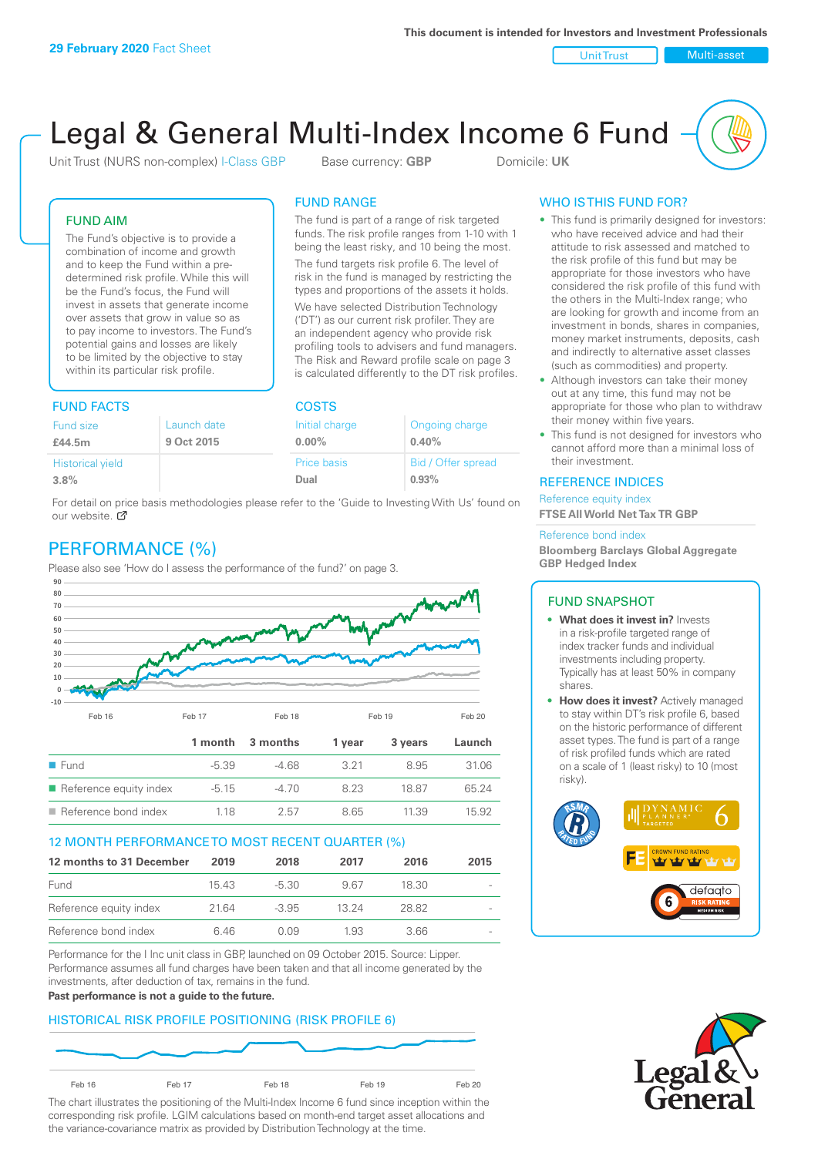Unit Trust Nulti-asset

# Legal & General Multi-Index Income 6 Fund

Unit Trust (NURS non-complex) I-Class GBP Base currency: **GBP** Domicile: UK

The fund is part of a range of risk targeted funds. The risk profile ranges from 1-10 with 1 being the least risky, and 10 being the most. The fund targets risk profile 6. The level of risk in the fund is managed by restricting the types and proportions of the assets it holds. We have selected Distribution Technology ('DT') as our current risk profiler. They are an independent agency who provide risk profiling tools to advisers and fund managers. The Risk and Reward profile scale on page 3 is calculated differently to the DT risk profiles.

FUND RANGE

FUND AIM

The Fund's objective is to provide a combination of income and growth and to keep the Fund within a predetermined risk profile. While this will be the Fund's focus, the Fund will invest in assets that generate income over assets that grow in value so as to pay income to investors. The Fund's potential gains and losses are likely to be limited by the objective to stay within its particular risk profile.

# FUND FACTS COSTS

| Fund size               | Launch date | Initial charge | Ongoing charge     |  |  |
|-------------------------|-------------|----------------|--------------------|--|--|
| £44.5m                  | 9 Oct 2015  | $0.00\%$       | 0.40%              |  |  |
| <b>Historical yield</b> |             | Price basis    | Bid / Offer spread |  |  |
| 3.8%                    |             | Dual           | 0.93%              |  |  |

For detail on price basis methodologies please refer to the 'Guide to Investing With Us' found on our website. Ø

# PERFORMANCE (%)

Please also see 'How do I assess the performance of the fund?' on page 3.



### 12 MONTH PERFORMANCE TO MOST RECENT QUARTER (%)

| 12 months to 31 December | 2019  | 2018    | 2017  | 2016  | 2015                     |
|--------------------------|-------|---------|-------|-------|--------------------------|
| Fund                     | 15.43 | -5.30   | 967   | 18.30 |                          |
| Reference equity index   | 2164  | $-3.95$ | 13 24 | 28.82 | $\overline{\phantom{a}}$ |
| Reference bond index     | 646   | O 0.9   | 1.93  | 3.66  | $\overline{\phantom{a}}$ |

Performance for the I Inc unit class in GBP, launched on 09 October 2015. Source: Lipper. Performance assumes all fund charges have been taken and that all income generated by the investments, after deduction of tax, remains in the fund.

#### **Past performance is not a guide to the future.**

### HISTORICAL RISK PROFILE POSITIONING (RISK PROFILE 6)



The chart illustrates the positioning of the Multi-Index Income 6 fund since inception within the corresponding risk profile. LGIM calculations based on month-end target asset allocations and the variance-covariance matrix as provided by Distribution Technology at the time.

### WHO IS THIS FUND FOR?

- This fund is primarily designed for investors: who have received advice and had their attitude to risk assessed and matched to the risk profile of this fund but may be appropriate for those investors who have considered the risk profile of this fund with the others in the Multi-Index range; who are looking for growth and income from an investment in bonds, shares in companies, money market instruments, deposits, cash and indirectly to alternative asset classes (such as commodities) and property.
- Although investors can take their money out at any time, this fund may not be appropriate for those who plan to withdraw their money within five years.
- This fund is not designed for investors who cannot afford more than a minimal loss of their investment.

### REFERENCE INDICES

Reference equity index **FTSE All World Net Tax TR GBP**

#### Reference bond index

**Bloomberg Barclays Global Aggregate GBP Hedged Index**

### FUND SNAPSHOT

- **• What does it invest in?** Invests in a risk-profile targeted range of index tracker funds and individual investments including property. Typically has at least 50% in company shares.
- **• How does it invest?** Actively managed to stay within DT's risk profile 6, based on the historic performance of different asset types. The fund is part of a range of risk profiled funds which are rated on a scale of 1 (least risky) to 10 (most risky).



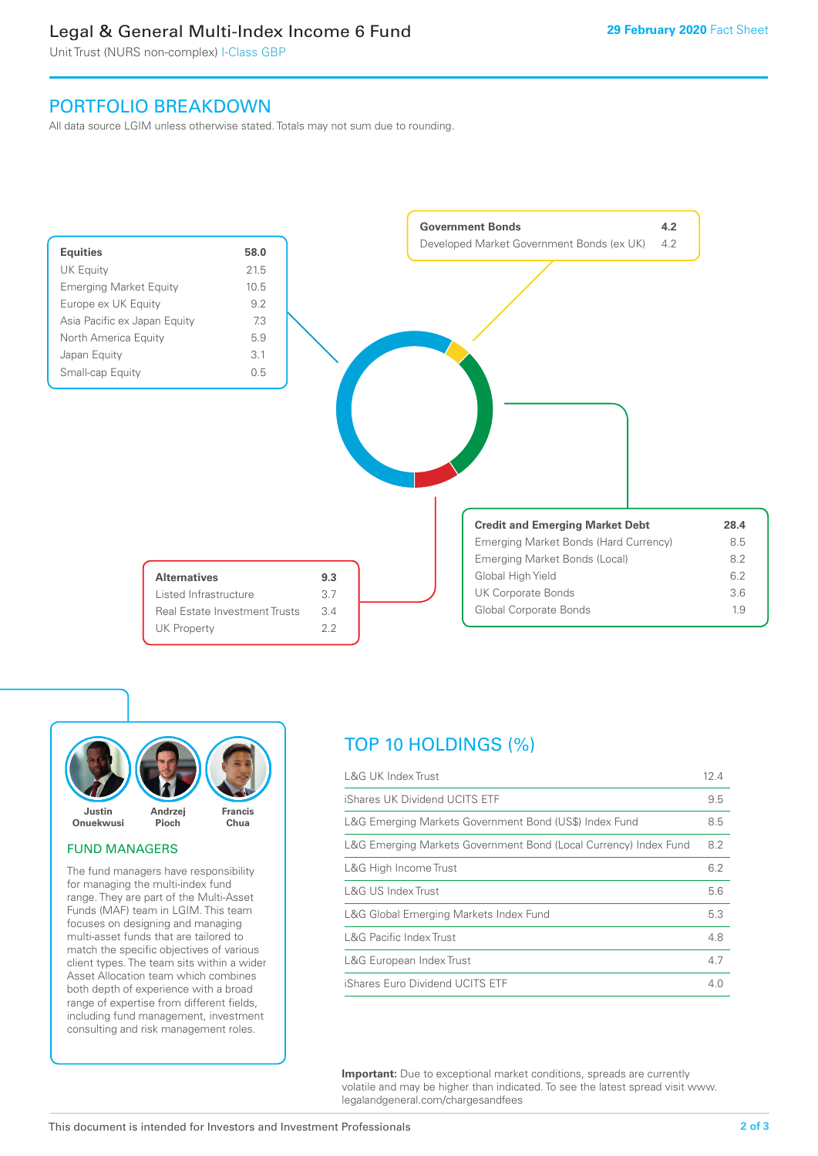# Legal & General Multi-Index Income 6 Fund

Unit Trust (NURS non-complex) I-Class GBP

# PORTFOLIO BREAKDOWN

All data source LGIM unless otherwise stated. Totals may not sum due to rounding.





### FUND MANAGERS

The fund managers have responsibility for managing the multi-index fund range. They are part of the Multi-Asset Funds (MAF) team in LGIM. This team focuses on designing and managing multi-asset funds that are tailored to match the specific objectives of various client types. The team sits within a wider Asset Allocation team which combines both depth of experience with a broad range of expertise from different fields, including fund management, investment consulting and risk management roles.

# TOP 10 HOLDINGS (%)

| <b>L&amp;G UK Index Trust</b>                                    | 12.4 |
|------------------------------------------------------------------|------|
| iShares UK Dividend UCITS ETF                                    | 9.5  |
| L&G Emerging Markets Government Bond (US\$) Index Fund           | 8.5  |
| L&G Emerging Markets Government Bond (Local Currency) Index Fund | 8.2  |
| L&G High Income Trust                                            | 6.2  |
| L&G US Index Trust                                               | 5.6  |
| L&G Global Emerging Markets Index Fund                           | 5.3  |
| <b>L&amp;G Pacific Index Trust</b>                               | 4.8  |
| L&G European Index Trust                                         | 4.7  |
| iShares Euro Dividend UCITS ETF                                  | 4.0  |

**Important:** Due to exceptional market conditions, spreads are currently volatile and may be higher than indicated. To see the latest spread visit www. legalandgeneral.com/chargesandfees